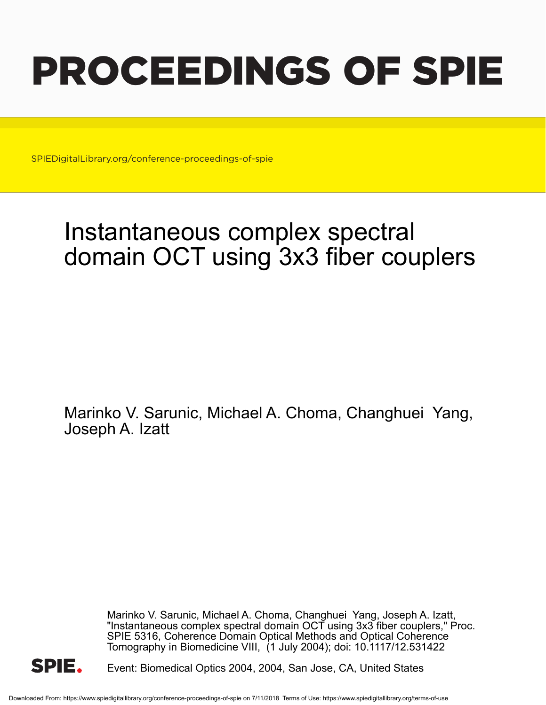# PROCEEDINGS OF SPIE

SPIEDigitalLibrary.org/conference-proceedings-of-spie

## Instantaneous complex spectral domain OCT using 3x3 fiber couplers

Marinko V. Sarunic, Michael A. Choma, Changhuei Yang, Joseph A. Izatt

> Marinko V. Sarunic, Michael A. Choma, Changhuei Yang, Joseph A. Izatt, "Instantaneous complex spectral domain OCT using 3x3 fiber couplers," Proc. SPIE 5316, Coherence Domain Optical Methods and Optical Coherence Tomography in Biomedicine VIII, (1 July 2004); doi: 10.1117/12.531422



Event: Biomedical Optics 2004, 2004, San Jose, CA, United States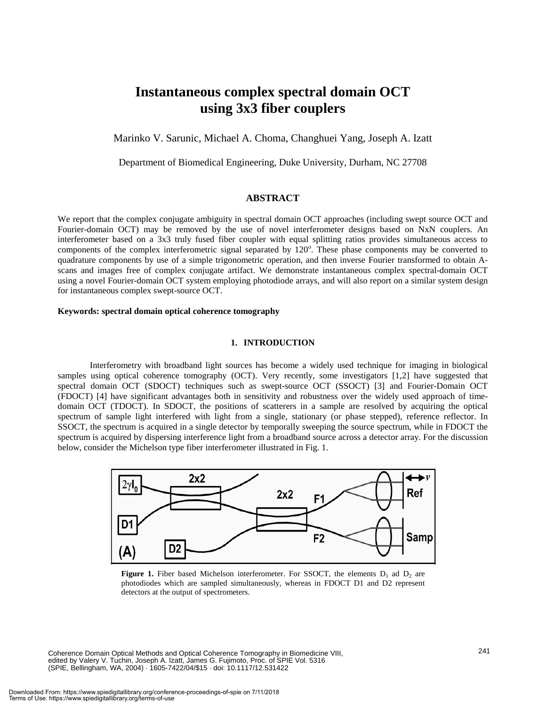### **Instantaneous complex spectral domain OCT using 3x3 fiber couplers**

Marinko V. Sarunic, Michael A. Choma, Changhuei Yang, Joseph A. Izatt

Department of Biomedical Engineering, Duke University, Durham, NC 27708

#### **ABSTRACT**

We report that the complex conjugate ambiguity in spectral domain OCT approaches (including swept source OCT and Fourier-domain OCT) may be removed by the use of novel interferometer designs based on NxN couplers. An interferometer based on a 3x3 truly fused fiber coupler with equal splitting ratios provides simultaneous access to components of the complex interferometric signal separated by 120°. These phase components may be converted to quadrature components by use of a simple trigonometric operation, and then inverse Fourier transformed to obtain Ascans and images free of complex conjugate artifact. We demonstrate instantaneous complex spectral-domain OCT using a novel Fourier-domain OCT system employing photodiode arrays, and will also report on a similar system design for instantaneous complex swept-source OCT.

#### **Keywords: spectral domain optical coherence tomography**

#### **1. INTRODUCTION**

 Interferometry with broadband light sources has become a widely used technique for imaging in biological samples using optical coherence tomography (OCT). Very recently, some investigators [1,2] have suggested that spectral domain OCT (SDOCT) techniques such as swept-source OCT (SSOCT) [3] and Fourier-Domain OCT (FDOCT) [4] have significant advantages both in sensitivity and robustness over the widely used approach of timedomain OCT (TDOCT). In SDOCT, the positions of scatterers in a sample are resolved by acquiring the optical spectrum of sample light interfered with light from a single, stationary (or phase stepped), reference reflector. In SSOCT, the spectrum is acquired in a single detector by temporally sweeping the source spectrum, while in FDOCT the spectrum is acquired by dispersing interference light from a broadband source across a detector array. For the discussion below, consider the Michelson type fiber interferometer illustrated in Fig. 1.



**Figure 1.** Fiber based Michelson interferometer. For SSOCT, the elements  $D_1$  ad  $D_2$  are photodiodes which are sampled simultaneously, whereas in FDOCT D1 and D2 represent detectors at the output of spectrometers.

Coherence Domain Optical Methods and Optical Coherence Tomography in Biomedicine VIII, edited by Valery V. Tuchin, Joseph A. Izatt, James G. Fujimoto, Proc. of SPIE Vol. 5316 (SPIE, Bellingham, WA, 2004) · 1605-7422/04/\$15 · doi: 10.1117/12.531422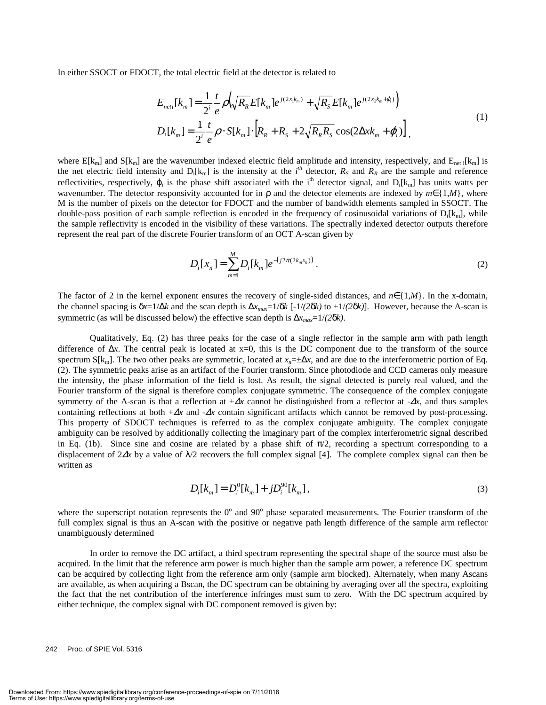In either SSOCT or FDOCT, the total electric field at the detector is related to

$$
E_{neti}[k_{m}] = \frac{1}{2^{i}} \frac{t}{e} \rho \left(\sqrt{R_{R}} E[k_{m}] e^{j(2x_{1}k_{m})} + \sqrt{R_{S}} E[k_{m}] e^{j(2x_{2}k_{m} + \varphi_{i})}\right)
$$
  
\n
$$
D_{i}[k_{m}] = \frac{1}{2^{i}} \frac{t}{e} \rho \cdot S[k_{m}] \cdot \left[R_{R} + R_{S} + 2\sqrt{R_{R}R_{S}} \cos(2\Delta x k_{m} + \varphi_{i})\right],
$$
\n(1)

where  $E[k_m]$  and  $S[k_m]$  are the wavenumber indexed electric field amplitude and intensity, respectively, and  $E_{net i}[k_m]$  is the net electric field intensity and  $D_i[k_m]$  is the intensity at the  $i^{th}$  detector,  $R_S$  and  $R_R$  are the sample and reference reflectivities, respectively,  $\varphi_i$  is the phase shift associated with the i<sup>th</sup> detector signal, and  $D_i[k_m]$  has units watts per wavenumber. The detector responsivity accounted for in ρ and the detector elements are indexed by *m*∈{1,*M*}, where M is the number of pixels on the detector for FDOCT and the number of bandwidth elements sampled in SSOCT. The double-pass position of each sample reflection is encoded in the frequency of cosinusoidal variations of  $D_i[k_m]$ , while the sample reflectivity is encoded in the visibility of these variations. The spectrally indexed detector outputs therefore represent the real part of the discrete Fourier transform of an OCT A-scan given by

$$
D_i[x_n] = \sum_{m=1}^{M} D_i[k_m] e^{-(j2\pi(2k_m x_n))}.
$$
 (2)

The factor of 2 in the kernel exponent ensures the recovery of single-sided distances, and  $n \in \{1,M\}$ . In the x-domain, the channel spacing is  $\delta x=1/\Delta k$  and the scan depth is  $\Delta x_{max}=1/\delta k$  [-1/(2 $\delta k$ ) to +1/(2 $\delta k$ )]. However, because the A-scan is symmetric (as will be discussed below) the effective scan depth is  $\Delta x_{max} = 1/(2\delta k)$ .

 Qualitatively, Eq. (2) has three peaks for the case of a single reflector in the sample arm with path length difference of ∆*x*. The central peak is located at x=0, this is the DC component due to the transform of the source spectrum S[k<sub>m</sub>]. The two other peaks are symmetric, located at  $x_n = \pm \Delta x$ , and are due to the interferometric portion of Eq. (2). The symmetric peaks arise as an artifact of the Fourier transform. Since photodiode and CCD cameras only measure the intensity, the phase information of the field is lost. As result, the signal detected is purely real valued, and the Fourier transform of the signal is therefore complex conjugate symmetric. The consequence of the complex conjugate symmetry of the A-scan is that a reflection at  $+\Delta x$  cannot be distinguished from a reflector at  $-\Delta x$ , and thus samples containing reflections at both +∆*x* and -∆*x* contain significant artifacts which cannot be removed by post-processing. This property of SDOCT techniques is referred to as the complex conjugate ambiguity. The complex conjugate ambiguity can be resolved by additionally collecting the imaginary part of the complex interferometric signal described in Eq. (1b). Since sine and cosine are related by a phase shift of  $\pi/2$ , recording a spectrum corresponding to a displacement of 2∆*x* by a value of λ/2 recovers the full complex signal [4]. The complete complex signal can then be written as

$$
D_i[k_m] = D_i^0[k_m] + jD_i^{90}[k_m],
$$
\n(3)

where the superscript notation represents the  $0^{\circ}$  and  $90^{\circ}$  phase separated measurements. The Fourier transform of the full complex signal is thus an A-scan with the positive or negative path length difference of the sample arm reflector unambiguously determined

 In order to remove the DC artifact, a third spectrum representing the spectral shape of the source must also be acquired. In the limit that the reference arm power is much higher than the sample arm power, a reference DC spectrum can be acquired by collecting light from the reference arm only (sample arm blocked). Alternately, when many Ascans are available, as when acquiring a Bscan, the DC spectrum can be obtaining by averaging over all the spectra, exploiting the fact that the net contribution of the interference infringes must sum to zero. With the DC spectrum acquired by either technique, the complex signal with DC component removed is given by:

242 Proc. of SPIE Vol. 5316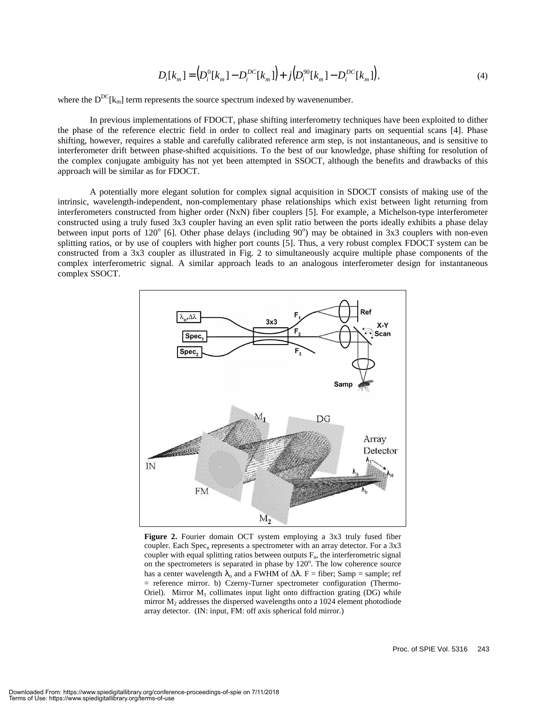$$
D_i[k_m] = (D_i^0[k_m] - D_i^{DC}[k_m]) + j(D_i^{90}[k_m] - D_i^{DC}[k_m]),
$$
\n(4)

where the  $D^{DC}[k_m]$  term represents the source spectrum indexed by wavenenumber.

 In previous implementations of FDOCT, phase shifting interferometry techniques have been exploited to dither the phase of the reference electric field in order to collect real and imaginary parts on sequential scans [4]. Phase shifting, however, requires a stable and carefully calibrated reference arm step, is not instantaneous, and is sensitive to interferometer drift between phase-shifted acquisitions. To the best of our knowledge, phase shifting for resolution of the complex conjugate ambiguity has not yet been attempted in SSOCT, although the benefits and drawbacks of this approach will be similar as for FDOCT.

 A potentially more elegant solution for complex signal acquisition in SDOCT consists of making use of the intrinsic, wavelength-independent, non-complementary phase relationships which exist between light returning from interferometers constructed from higher order (NxN) fiber couplers [5]. For example, a Michelson-type interferometer constructed using a truly fused 3x3 coupler having an even split ratio between the ports ideally exhibits a phase delay between input ports of  $120^{\circ}$  [6]. Other phase delays (including  $90^{\circ}$ ) may be obtained in 3x3 couplers with non-even splitting ratios, or by use of couplers with higher port counts [5]. Thus, a very robust complex FDOCT system can be constructed from a 3x3 coupler as illustrated in Fig. 2 to simultaneously acquire multiple phase components of the complex interferometric signal. A similar approach leads to an analogous interferometer design for instantaneous complex SSOCT.



**Figure 2.** Fourier domain OCT system employing a 3x3 truly fused fiber coupler. Each Spec<sub>n</sub> represents a spectrometer with an array detector. For a  $3x3$ coupler with equal splitting ratios between outputs  $F_n$ , the interferometric signal on the spectrometers is separated in phase by 120°. The low coherence source has a center wavelength  $\lambda_0$  and a FWHM of  $\Delta\lambda$ . F = fiber; Samp = sample; ref = reference mirror. b) Czerny-Turner spectrometer configuration (Thermo-Oriel). Mirror  $M_1$  collimates input light onto diffraction grating (DG) while mirror  $M<sub>2</sub>$  addresses the dispersed wavelengths onto a 1024 element photodiode array detector. (IN: input, FM: off axis spherical fold mirror.)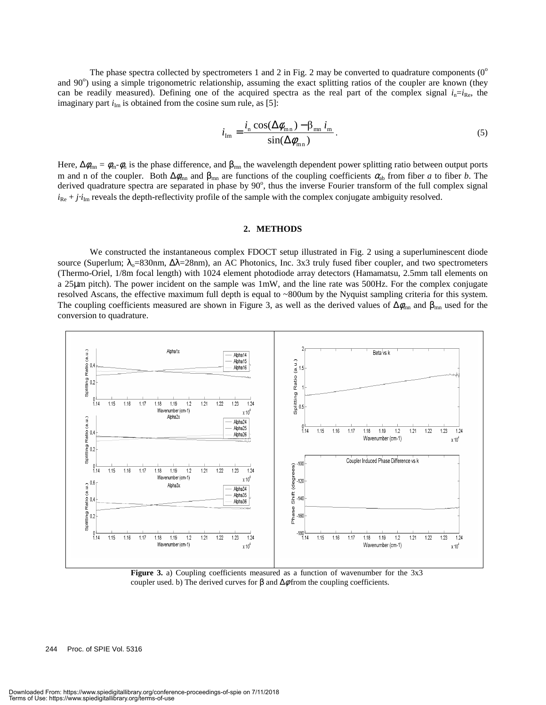The phase spectra collected by spectrometers 1 and 2 in Fig. 2 may be converted to quadrature components  $(0^{\circ})$ and 90°) using a simple trigonometric relationship, assuming the exact splitting ratios of the coupler are known (they can be readily measured). Defining one of the acquired spectra as the real part of the complex signal  $i_n=i_{Re}$ , the imaginary part  $i_{Im}$  is obtained from the cosine sum rule, as [5]:

$$
i_{\rm Im} = \frac{i_{\rm n} \cos(\Delta \phi_{\rm mn}) - \beta_{\rm mn} i_{\rm m}}{\sin(\Delta \phi_{\rm mn})}.
$$
 (5)

Here,  $\Delta\phi_{mn} = \phi_m \cdot \phi_n$  is the phase difference, and  $\beta_{mn}$  the wavelength dependent power splitting ratio between output ports m and n of the coupler. Both  $Δφ_{mn}$  and  $β_{mn}$  are functions of the coupling coefficients  $α_{ab}$  from fiber *a* to fiber *b*. The derived quadrature spectra are separated in phase by  $90^\circ$ , thus the inverse Fourier transform of the full complex signal  $i_{Re} + j \cdot i_{Im}$  reveals the depth-reflectivity profile of the sample with the complex conjugate ambiguity resolved.

#### **2. METHODS**

We constructed the instantaneous complex FDOCT setup illustrated in Fig. 2 using a superluminescent diode source (Superlum;  $\lambda_0$ =830nm,  $\Delta\lambda$ =28nm), an AC Photonics, Inc. 3x3 truly fused fiber coupler, and two spectrometers (Thermo-Oriel, 1/8m focal length) with 1024 element photodiode array detectors (Hamamatsu, 2.5mm tall elements on a 25µm pitch). The power incident on the sample was 1mW, and the line rate was 500Hz. For the complex conjugate resolved Ascans, the effective maximum full depth is equal to ~800um by the Nyquist sampling criteria for this system. The coupling coefficients measured are shown in Figure 3, as well as the derived values of  $\Delta\phi_{mn}$  and  $\beta_{mn}$  used for the conversion to quadrature.



**Figure 3.** a) Coupling coefficients measured as a function of wavenumber for the 3x3 coupler used. b) The derived curves for  $\beta$  and  $\Delta\phi$  from the coupling coefficients.

244 Proc. of SPIE Vol. 5316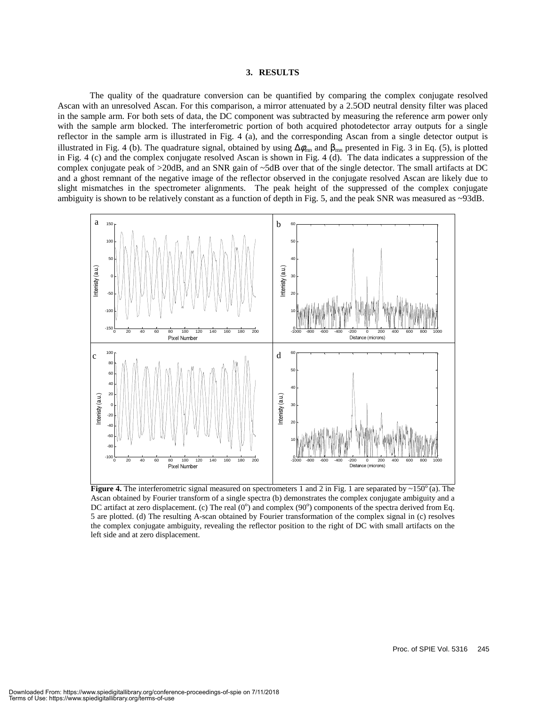#### **3. RESULTS**

 The quality of the quadrature conversion can be quantified by comparing the complex conjugate resolved Ascan with an unresolved Ascan. For this comparison, a mirror attenuated by a 2.5OD neutral density filter was placed in the sample arm. For both sets of data, the DC component was subtracted by measuring the reference arm power only with the sample arm blocked. The interferometric portion of both acquired photodetector array outputs for a single reflector in the sample arm is illustrated in Fig. 4 (a), and the corresponding Ascan from a single detector output is illustrated in Fig. 4 (b). The quadrature signal, obtained by using  $\Delta\phi_{mn}$  and  $\beta_{mn}$  presented in Fig. 3 in Eq. (5), is plotted in Fig. 4 (c) and the complex conjugate resolved Ascan is shown in Fig. 4 (d). The data indicates a suppression of the complex conjugate peak of >20dB, and an SNR gain of ~5dB over that of the single detector. The small artifacts at DC and a ghost remnant of the negative image of the reflector observed in the conjugate resolved Ascan are likely due to slight mismatches in the spectrometer alignments. The peak height of the suppressed of the complex conjugate ambiguity is shown to be relatively constant as a function of depth in Fig. 5, and the peak SNR was measured as ~93dB.



**Figure 4.** The interferometric signal measured on spectrometers 1 and 2 in Fig. 1 are separated by  $\sim 150^\circ$  (a). The Ascan obtained by Fourier transform of a single spectra (b) demonstrates the complex conjugate ambiguity and a DC artifact at zero displacement. (c) The real  $(0^{\circ})$  and complex  $(90^{\circ})$  components of the spectra derived from Eq. 5 are plotted. (d) The resulting A-scan obtained by Fourier transformation of the complex signal in (c) resolves the complex conjugate ambiguity, revealing the reflector position to the right of DC with small artifacts on the left side and at zero displacement.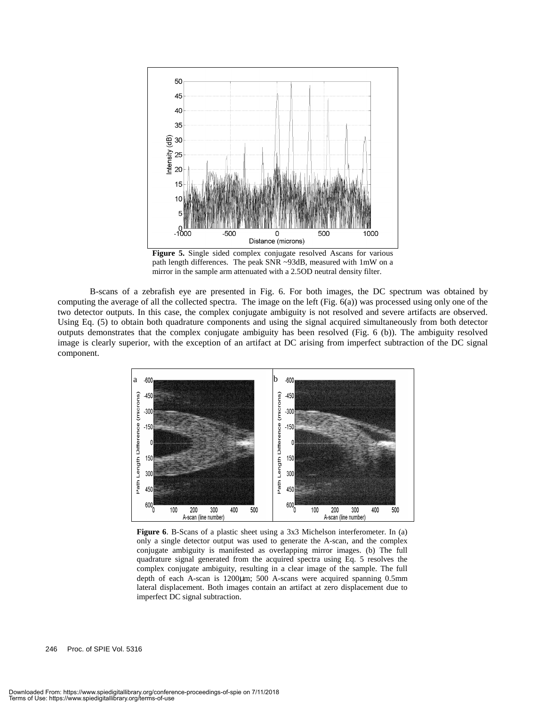

**Figure 5.** Single sided complex conjugate resolved Ascans for various path length differences. The peak SNR ~93dB, measured with 1mW on a mirror in the sample arm attenuated with a 2.5OD neutral density filter.

 B-scans of a zebrafish eye are presented in Fig. 6. For both images, the DC spectrum was obtained by computing the average of all the collected spectra. The image on the left (Fig. 6(a)) was processed using only one of the two detector outputs. In this case, the complex conjugate ambiguity is not resolved and severe artifacts are observed. Using Eq. (5) to obtain both quadrature components and using the signal acquired simultaneously from both detector outputs demonstrates that the complex conjugate ambiguity has been resolved (Fig. 6 (b)). The ambiguity resolved image is clearly superior, with the exception of an artifact at DC arising from imperfect subtraction of the DC signal component.



**Figure 6**. B-Scans of a plastic sheet using a 3x3 Michelson interferometer. In (a) only a single detector output was used to generate the A-scan, and the complex conjugate ambiguity is manifested as overlapping mirror images. (b) The full quadrature signal generated from the acquired spectra using Eq. 5 resolves the complex conjugate ambiguity, resulting in a clear image of the sample. The full depth of each A-scan is 1200um; 500 A-scans were acquired spanning 0.5mm lateral displacement. Both images contain an artifact at zero displacement due to imperfect DC signal subtraction.